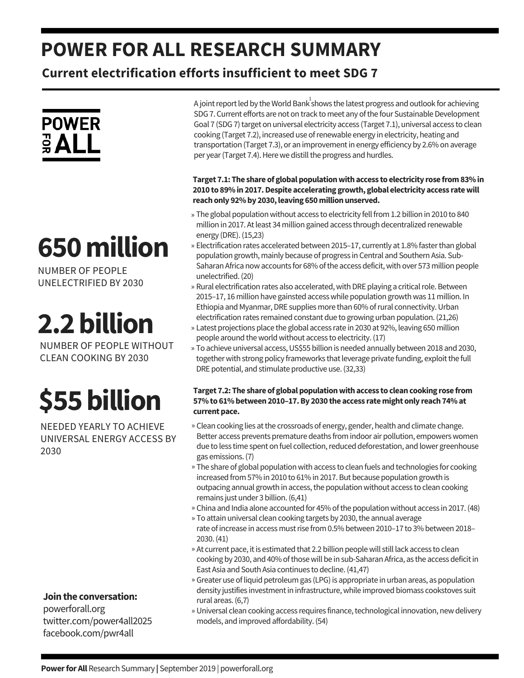## **POWER FOR ALL RESEARCH SUMMARY**

**Current electrification efforts insufficient to meet SDG 7**

## **POWER**  $rac{1}{2}$  ALL

# **650million**

NUMBER OF PEOPLE UNELECTRIFIED BY 2030

# **2.2billion**

NUMBER OF PEOPLE WITHOUT CLEAN COOKING BY 2030

# **\$55billion**

NEEDED YEARLY TO ACHIEVE UNIVERSAL ENERGY ACCESS BY 2030

### **Jointhe conversation:**

powerforall.org twitter.com/power4all2025 facebook.com/pwr4all

A joint report led by the World Bank $^1$ shows the latest progress and outlook for achieving SDG 7. Current efforts are not on track to meet any of the four Sustainable Development Goal 7 (SDG 7) target on universal electricity access (Target 7.1), universal access to clean cooking (Target 7.2), increased use ofrenewable energy in electricity, heating and transportation (Target 7.3), or an improvementin energy efficiency by 2.6% on average per year (Target 7.4). Here we distill the progress and hurdles.

#### **Target 7.1: The share of globalpopulationwithaccess to electricity rose from83%in 2010 to 89%in2017.Despite accelerating growth, global electricity access ratewill reachonly 92%by 2030,leaving 650millionunserved.**

- » The global population without access to electricity fell from 1.2 billion in 2010 to 840 million in 2017. Atleast 34 million gained access through decentralized renewable energy (DRE).(15,23)
- » Electrification rates accelerated between 2015–17, currently at 1.8% faster than global population growth, mainly because of progress in Central and Southern Asia. Sub-Saharan Africa now accounts for 68% of the access deficit, with over 573 million people unelectrified.(20)
- » Rural electrification rates also accelerated, with DRE playing a critical role. Between 2015–17, 16 million have gainsted accesswhile population growthwas 11 million. In Ethiopia and Myanmar, DRE supplies more than 60% of rural connectivity. Urban electrification rates remained constant due to growing urban population.(21,26)
- Latest projections place the global access rate in 2030 at 92%, leaving 650 million » people around the world without access to electricity. (17)
- » To achieve universal access, US\$55 billion is needed annually between 2018 and 2030, together with strong policy frameworks that leverage private funding, exploit the full DRE potential, and stimulate productive use.(32,33)

#### **Target 7.2: The share of globalpopulationwithaccess to cleancooking rose from 57%to 61%between2010–17.By 2030 the access ratemight only reach74%at** current pace.

- » Clean cooking lies at the crossroads of energy, gender, health and climate change. Better access prevents premature deaths from indoor air pollution, empowers women due to less time spent on fuel collection, reduced deforestation, and lower greenhouse gas emissions.(7)
- » The share of global population with access to clean fuels and technologies for cooking increased from 57% in 2010 to 61% in 2017. But because population growth is outpacing annual growth in access, the population without access to clean cooking remains just under 3 billion.(6,41)
- » China and India alone accounted for 45% of the population without access in 2017. (48)
- » To attain universal clean cooking targets by 2030, the annual average rate of increase in access must rise from 0.5% between 2010–17 to 3% between 2018– 2030.(41)
- » At current pace, it is estimated that 2.2 billion people will still lack access to clean cooking by 2030, and 40% of those will be in sub-Saharan Africa, as the access deficit in East Asia and South Asia continues to decline.(41,47)
- » Greater use of liquid petroleum gas (LPG) is appropriate in urban areas, as population density justifies investment in infrastructure, while improved biomass cookstoves suit rural areas.(6,7)
- » Universal clean cooking access requires finance, technological innovation, new delivery models, and improved affordability.(54)